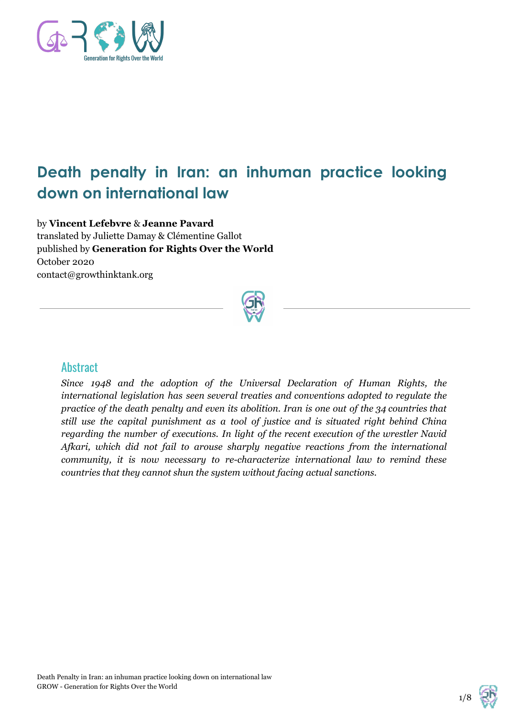

# **Death penalty in Iran: an inhuman practice looking down on international law**

by **Vincent Lefebvre** & **Jeanne Pavard** translated by Juliette Damay & Clémentine Gallot published by **Generation for Rights Over the World** October 2020 contact@growthinktank.org



## **Abstract**

*Since 1948 and the adoption of the Universal Declaration of Human Rights, the international legislation has seen several treaties and conventions adopted to regulate the practice of the death penalty and even its abolition. Iran is one out of the 34 countries that still use the capital punishment as a tool of justice and is situated right behind China regarding the number of executions. In light of the recent execution of the wrestler Navid Afkari, which did not fail to arouse sharply negative reactions from the international community, it is now necessary to re-characterize international law to remind these countries that they cannot shun the system without facing actual sanctions.*



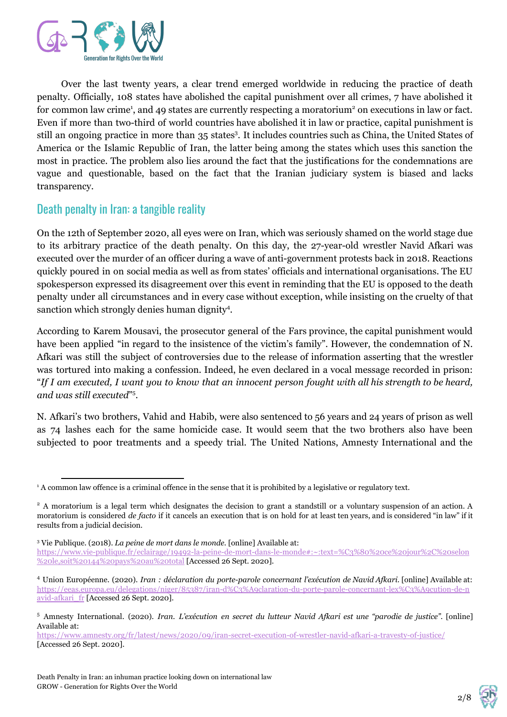

Over the last twenty years, a clear trend emerged worldwide in reducing the practice of death penalty. Officially, 108 states have abolished the capital punishment over all crimes, 7 have abolished it for common law crime<sup>1</sup>, and 49 states are currently respecting a moratorium<sup>2</sup> on executions in law or fact. Even if more than two-third of world countries have abolished it in law or practice, capital punishment is still an ongoing practice in more than 35 states<sup>3</sup>. It includes countries such as China, the United States of America or the Islamic Republic of Iran, the latter being among the states which uses this sanction the most in practice. The problem also lies around the fact that the justifications for the condemnations are vague and questionable, based on the fact that the Iranian judiciary system is biased and lacks transparency.

## Death penalty in Iran: a tangible reality

On the 12th of September 2020, all eyes were on Iran, which was seriously shamed on the world stage due to its arbitrary practice of the death penalty. On this day, the 27-year-old wrestler Navid Afkari was executed over the murder of an officer during a wave of anti-government protests back in 2018. Reactions quickly poured in on social media as well as from states' officials and international organisations. The EU spokesperson expressed its disagreement over this event in reminding that the EU is opposed to the death penalty under all circumstances and in every case without exception, while insisting on the cruelty of that sanction which strongly denies human dignity<sup>4</sup>.

According to Karem Mousavi, the prosecutor general of the Fars province, the capital punishment would have been applied "in regard to the insistence of the victim's family". However, the condemnation of N. Afkari was still the subject of controversies due to the release of information asserting that the wrestler was tortured into making a confession. Indeed, he even declared in a vocal message recorded in prison: "If I am executed, I want you to know that an innocent person fought with all his strength to be heard, and was still executed"<sup>5</sup>.

N. Afkari's two brothers, Vahid and Habib, were also sentenced to 56 years and 24 years of prison as well as 74 lashes each for the same homicide case. It would seem that the two brothers also have been subjected to poor treatments and a speedy trial. The United Nations, Amnesty International and the



<sup>1</sup> A common law offence is a criminal offence in the sense that it is prohibited by a legislative or regulatory text.

<sup>&</sup>lt;sup>2</sup> A moratorium is a legal term which designates the decision to grant a standstill or a voluntary suspension of an action. A moratorium is considered *de facto* if it cancels an execution that is on hold for at least ten years, and is considered "in law" if it results from a judicial decision.

<sup>3</sup> Vie Publique. (2018). *La peine de mort dans le monde.* [online] Available at:

[https://www.vie-publique.fr/eclairage/19492-la-peine-de-mort-dans-le-monde#:~:text=%C3%80%20ce%20jour%2C%20selon](https://www.vie-publique.fr/eclairage/19492-la-peine-de-mort-dans-le-monde#:~:text=%C3%80%20ce%20jour%2C%20selon%20le,soit%20144%20pays%20au%20total) [%20le,soit%20144%20pays%20au%20total](https://www.vie-publique.fr/eclairage/19492-la-peine-de-mort-dans-le-monde#:~:text=%C3%80%20ce%20jour%2C%20selon%20le,soit%20144%20pays%20au%20total) [Accessed 26 Sept. 2020].

<sup>4</sup> Union Européenne. (2020). *Iran : déclaration du porte-parole concernant l'exécution de Navid Afkari.* [online] Available at: [https://eeas.europa.eu/delegations/niger/85387/iran-d%C3%A9claration-du-porte-parole-concernant-lex%C3%A9cution-de-n](https://eeas.europa.eu/delegations/niger/85387/iran-d%C3%A9claration-du-porte-parole-concernant-lex%C3%A9cution-de-navid-afkari_fr) [avid-afkari\\_fr](https://eeas.europa.eu/delegations/niger/85387/iran-d%C3%A9claration-du-porte-parole-concernant-lex%C3%A9cution-de-navid-afkari_fr) [Accessed 26 Sept. 2020].

<sup>5</sup> Amnesty International. (2020). *Iran. L'exécution en secret du lutteur Navid Afkari est une "parodie de justice".* [online] Available at:

<https://www.amnesty.org/fr/latest/news/2020/09/iran-secret-execution-of-wrestler-navid-afkari-a-travesty-of-justice/> [Accessed 26 Sept. 2020].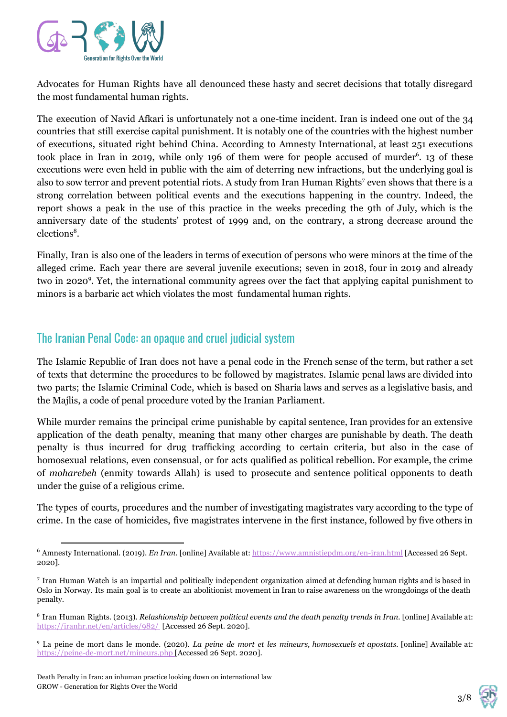

Advocates for Human Rights have all denounced these hasty and secret decisions that totally disregard the most fundamental human rights.

The execution of Navid Afkari is unfortunately not a one-time incident. Iran is indeed one out of the 34 countries that still exercise capital punishment. It is notably one of the countries with the highest number of executions, situated right behind China. According to Amnesty International, at least 251 executions took place in Iran in 2019, while only 196 of them were for people accused of murder<sup>6</sup>. 13 of these executions were even held in public with the aim of deterring new infractions, but the underlying goal is also to sow terror and prevent potential riots. A study from Iran Human Rights<sup>7</sup> even shows that there is a strong correlation between political events and the executions happening in the country. Indeed, the report shows a peak in the use of this practice in the weeks preceding the 9th of July, which is the anniversary date of the students' protest of 1999 and, on the contrary, a strong decrease around the elections<sup>8</sup>.

Finally, Iran is also one of the leaders in terms of execution of persons who were minors at the time of the alleged crime. Each year there are several juvenile executions; seven in 2018, four in 2019 and already two in 2020<sup>9</sup>. Yet, the international community agrees over the fact that applying capital punishment to minors is a barbaric act which violates the most fundamental human rights.

## The Iranian Penal Code: an opaque and cruel judicial system

The Islamic Republic of Iran does not have a penal code in the French sense of the term, but rather a set of texts that determine the procedures to be followed by magistrates. Islamic penal laws are divided into two parts; the Islamic Criminal Code, which is based on Sharia laws and serves as a legislative basis, and the Majlis, a code of penal procedure voted by the Iranian Parliament.

While murder remains the principal crime punishable by capital sentence, Iran provides for an extensive application of the death penalty, meaning that many other charges are punishable by death. The death penalty is thus incurred for drug trafficking according to certain criteria, but also in the case of homosexual relations, even consensual, or for acts qualified as political rebellion. For example, the crime of *moharebeh* (enmity towards Allah) is used to prosecute and sentence political opponents to death under the guise of a religious crime.

The types of courts, procedures and the number of investigating magistrates vary according to the type of crime. In the case of homicides, five magistrates intervene in the first instance, followed by five others in



<sup>6</sup> Amnesty International. (2019). *En Iran.* [online] Available at:<https://www.amnistiepdm.org/en-iran.html>[Accessed 26 Sept. 2020].

<sup>7</sup> Iran Human Watch is an impartial and politically independent organization aimed at defending human rights and is based in Oslo in Norway. Its main goal is to create an abolitionist movement in Iran to raise awareness on the wrongdoings of the death penalty.

<sup>8</sup> Iran Human Rights. (2013). *Relashionship between political events and the death penalty trends in Iran.* [online] Available at: <https://iranhr.net/en/articles/982/> [Accessed 26 Sept. 2020].

<sup>9</sup> La peine de mort dans le monde. (2020). *La peine de mort et les mineurs, homosexuels et apostats.* [online] Available at: <https://peine-de-mort.net/mineurs.php> [Accessed 26 Sept. 2020].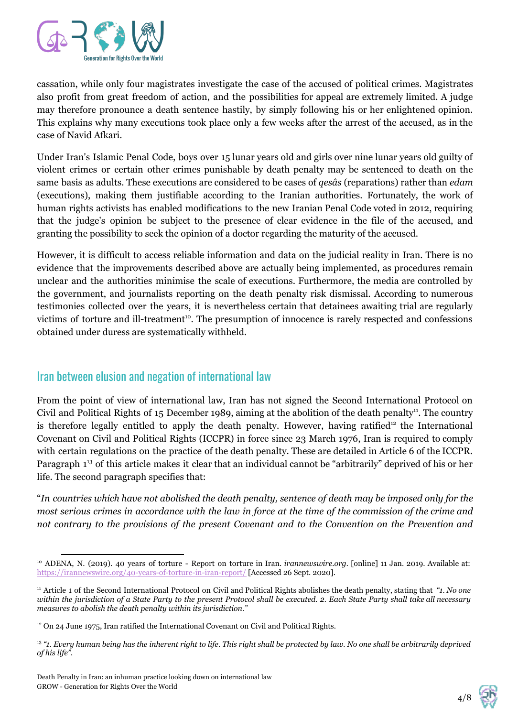

cassation, while only four magistrates investigate the case of the accused of political crimes. Magistrates also profit from great freedom of action, and the possibilities for appeal are extremely limited. A judge may therefore pronounce a death sentence hastily, by simply following his or her enlightened opinion. This explains why many executions took place only a few weeks after the arrest of the accused, as in the case of Navid Afkari.

Under Iran's Islamic Penal Code, boys over 15 lunar years old and girls over nine lunar years old guilty of violent crimes or certain other crimes punishable by death penalty may be sentenced to death on the same basis as adults. These executions are considered to be cases of *qesâs* (reparations) rather than *edam* (executions), making them justifiable according to the Iranian authorities. Fortunately, the work of human rights activists has enabled modifications to the new Iranian Penal Code voted in 2012, requiring that the judge's opinion be subject to the presence of clear evidence in the file of the accused, and granting the possibility to seek the opinion of a doctor regarding the maturity of the accused.

However, it is difficult to access reliable information and data on the judicial reality in Iran. There is no evidence that the improvements described above are actually being implemented, as procedures remain unclear and the authorities minimise the scale of executions. Furthermore, the media are controlled by the government, and journalists reporting on the death penalty risk dismissal. According to numerous testimonies collected over the years, it is nevertheless certain that detainees awaiting trial are regularly victims of torture and ill-treatment<sup>10</sup>. The presumption of innocence is rarely respected and confessions obtained under duress are systematically withheld.

## Iran between elusion and negation of international law

From the point of view of international law, Iran has not signed the Second International Protocol on Civil and Political Rights of 15 December 1989, aiming at the abolition of the death penalty<sup>11</sup>. The country is therefore legally entitled to apply the death penalty. However, having ratified<sup>12</sup> the International Covenant on Civil and Political Rights (ICCPR) in force since 23 March 1976, Iran is required to comply with certain regulations on the practice of the death penalty. These are detailed in Article 6 of the ICCPR. Paragraph 1<sup>13</sup> of this article makes it clear that an individual cannot be "arbitrarily" deprived of his or her life. The second paragraph specifies that:

"In countries which have not abolished the death penalty, sentence of death may be imposed only for the most serious crimes in accordance with the law in force at the time of the commission of the crime and *not contrary to the provisions of the present Covenant and to the Convention on the Prevention and*



<sup>10</sup> ADENA, N. (2019). 40 years of torture - Report on torture in Iran. *irannewswire.org.* [online] 11 Jan. 2019. Available at: <https://irannewswire.org/40-years-of-torture-in-iran-report/>[Accessed 26 Sept. 2020].

<sup>11</sup> Article 1 of the Second International Protocol on Civil and Political Rights abolishes the death penalty, stating that *"1. No one* within the jurisdiction of a State Party to the present Protocol shall be executed. 2. Each State Party shall take all necessary *measures to abolish the death penalty within its jurisdiction."*

 $12$  On 24 June 1975, Iran ratified the International Covenant on Civil and Political Rights.

<sup>13</sup> *"1. Every human being has the inherent right to life. This right shall be protected by law. No one shall be arbitrarily deprived of his life".*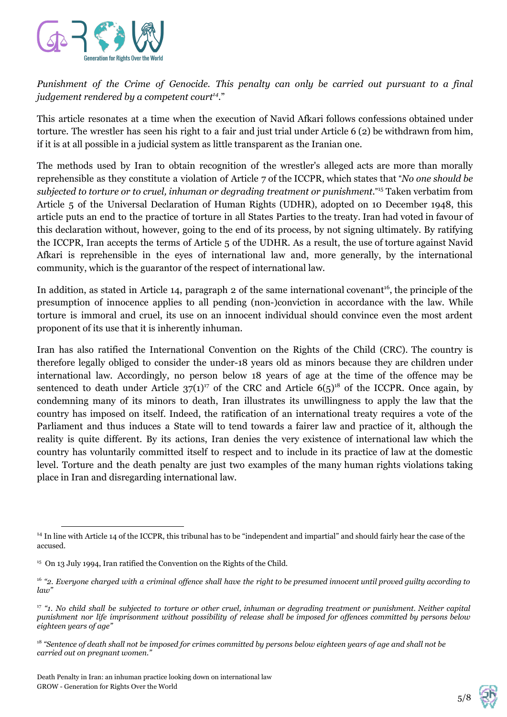

*Punishment of the Crime of Genocide. This penalty can only be carried out pursuant to a final judgement rendered by a competent court .*" *14*

This article resonates at a time when the execution of Navid Afkari follows confessions obtained under torture. The wrestler has seen his right to a fair and just trial under Article 6 (2) be withdrawn from him, if it is at all possible in a judicial system as little transparent as the Iranian one.

The methods used by Iran to obtain recognition of the wrestler's alleged acts are more than morally reprehensible as they constitute a violation of Article 7 of the ICCPR, which states that "*No one should be subjected to torture or to cruel, inhuman or degrading treatment or punishment.*" <sup>15</sup> Taken verbatim from Article 5 of the Universal Declaration of Human Rights (UDHR), adopted on 10 December 1948, this article puts an end to the practice of torture in all States Parties to the treaty. Iran had voted in favour of this declaration without, however, going to the end of its process, by not signing ultimately. By ratifying the ICCPR, Iran accepts the terms of Article 5 of the UDHR. As a result, the use of torture against Navid Afkari is reprehensible in the eyes of international law and, more generally, by the international community, which is the guarantor of the respect of international law.

In addition, as stated in Article 14, paragraph 2 of the same international covenant<sup>16</sup>, the principle of the presumption of innocence applies to all pending (non-)conviction in accordance with the law. While torture is immoral and cruel, its use on an innocent individual should convince even the most ardent proponent of its use that it is inherently inhuman.

Iran has also ratified the International Convention on the Rights of the Child (CRC). The country is therefore legally obliged to consider the under-18 years old as minors because they are children under international law. Accordingly, no person below 18 years of age at the time of the offence may be sentenced to death under Article  $37(1)^{17}$  of the CRC and Article  $6(5)^{18}$  of the ICCPR. Once again, by condemning many of its minors to death, Iran illustrates its unwillingness to apply the law that the country has imposed on itself. Indeed, the ratification of an international treaty requires a vote of the Parliament and thus induces a State will to tend towards a fairer law and practice of it, although the reality is quite different. By its actions, Iran denies the very existence of international law which the country has voluntarily committed itself to respect and to include in its practice of law at the domestic level. Torture and the death penalty are just two examples of the many human rights violations taking place in Iran and disregarding international law.



<sup>&</sup>lt;sup>14</sup> In line with Article 14 of the ICCPR, this tribunal has to be "independent and impartial" and should fairly hear the case of the accused.

<sup>&</sup>lt;sup>15</sup> On 13 July 1994, Iran ratified the Convention on the Rights of the Child.

 $^{16}$  "2. Everyone charged with a criminal offence shall have the right to be presumed innocent until proved guilty according to *law"*

 $17$  "1. No child shall be subjected to torture or other cruel, inhuman or degrading treatment or punishment. Neither capital punishment nor life imprisonment without possibility of release shall be imposed for offences committed by persons below *eighteen years of age"*

<sup>18</sup> *"Sentence of death shall not be imposed for crimes committed by persons below eighteen years of age and shall not be carried out on pregnant women."*

Death Penalty in Iran: an inhuman practice looking down on international law GROW - Generation for Rights Over the World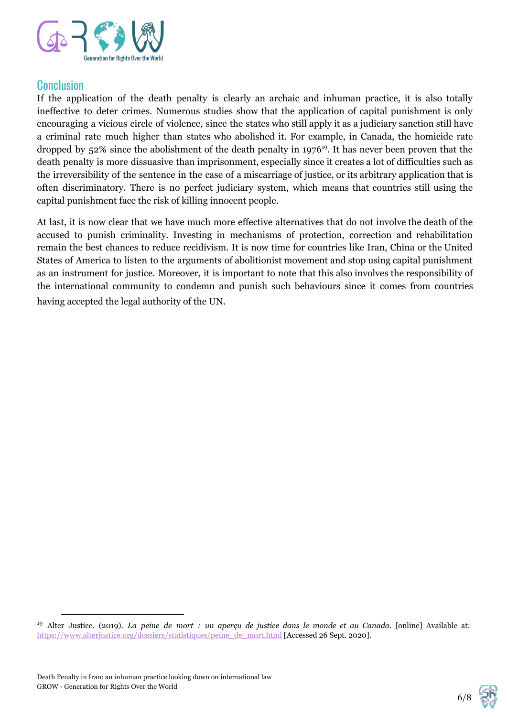

#### Conclusion

If the application of the death penalty is clearly an archaic and inhuman practice, it is also totally ineffective to deter crimes. Numerous studies show that the application of capital punishment is only encouraging a vicious circle of violence, since the states who still apply it as a judiciary sanction still have a criminal rate much higher than states who abolished it. For example, in Canada, the homicide rate dropped by 52% since the abolishment of the death penalty in 1976<sup>19</sup>. It has never been proven that the death penalty is more dissuasive than imprisonment, especially since it creates a lot of difficulties such as the irreversibility of the sentence in the case of a miscarriage of justice, or its arbitrary application that is often discriminatory. There is no perfect judiciary system, which means that countries still using the capital punishment face the risk of killing innocent people.

At last, it is now clear that we have much more effective alternatives that do not involve the death of the accused to punish criminality. Investing in mechanisms of protection, correction and rehabilitation remain the best chances to reduce recidivism. It is now time for countries like Iran, China or the United States of America to listen to the arguments of abolitionist movement and stop using capital punishment as an instrument for justice. Moreover, it is important to note that this also involves the responsibility of the international community to condemn and punish such behaviours since it comes from countries having accepted the legal authority of the UN.



<sup>19</sup> Alter Justice. (2019). *La peine de mort : un aperçu de justice dans le monde et au Canada.* [online] Available at: [https://www.alterjustice.org/dossiers/statistiques/peine\\_de\\_mort.html](https://www.alterjustice.org/dossiers/statistiques/peine_de_mort.html) [Accessed 26 Sept. 2020].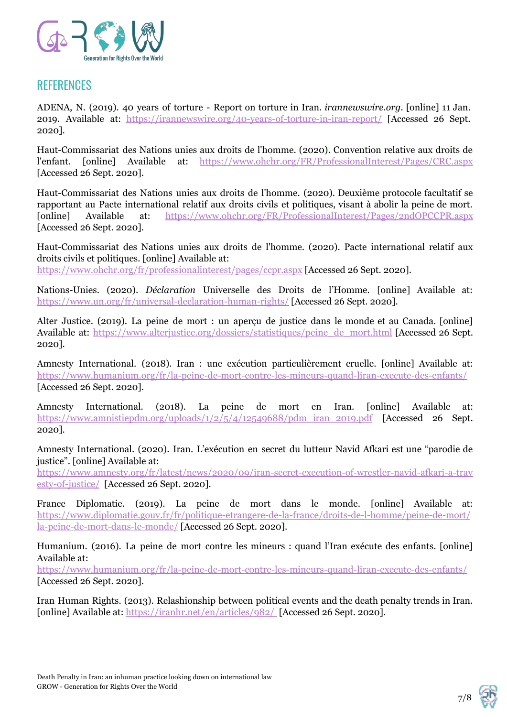

## **REFERENCES**

ADENA, N. (2019). 40 years of torture - Report on torture in Iran. *irannewswire.org.* [online] 11 Jan. 2019. Available at: <https://irannewswire.org/40-years-of-torture-in-iran-report/> [Accessed 26 Sept. 2020].

Haut-Commissariat des Nations unies aux droits de l'homme. (2020). Convention relative aux droits de l'enfant. [online] Available at: <https://www.ohchr.org/FR/ProfessionalInterest/Pages/CRC.aspx> [Accessed 26 Sept. 2020].

Haut-Commissariat des Nations unies aux droits de l'homme. (2020). Deuxième protocole facultatif se rapportant au Pacte international relatif aux droits civils et politiques, visant à abolir la peine de mort. [online] Available at: <https://www.ohchr.org/FR/ProfessionalInterest/Pages/2ndOPCCPR.aspx> [Accessed 26 Sept. 2020].

Haut-Commissariat des Nations unies aux droits de l'homme. (2020). Pacte international relatif aux droits civils et politiques. [online] Available at:

<https://www.ohchr.org/fr/professionalinterest/pages/ccpr.aspx> [Accessed 26 Sept. 2020].

Nations-Unies. (2020). *Déclaration* Universelle des Droits de l'Homme. [online] Available at: <https://www.un.org/fr/universal-declaration-human-rights/> [Accessed 26 Sept. 2020].

Alter Justice. (2019). La peine de mort : un aperçu de justice dans le monde et au Canada*.* [online] Available at: [https://www.alterjustice.org/dossiers/statistiques/peine\\_de\\_mort.html](https://www.alterjustice.org/dossiers/statistiques/peine_de_mort.html) [Accessed 26 Sept. 2020].

Amnesty International. (2018). Iran : une exécution particulièrement cruelle. [online] Available at: <https://www.humanium.org/fr/la-peine-de-mort-contre-les-mineurs-quand-liran-execute-des-enfants/> [Accessed 26 Sept. 2020].

Amnesty International. (2018). La peine de mort en Iran. [online] Available at: [https://www.amnistiepdm.org/uploads/1/2/5/4/12549688/pdm\\_iran\\_2019.pdf](https://www.amnistiepdm.org/uploads/1/2/5/4/12549688/pdm_iran_2019.pdf) [Accessed 26 Sept. 2020].

Amnesty International. (2020). Iran. L'exécution en secret du lutteur Navid Afkari est une "parodie de justice". [online] Available at:

[https://www.amnesty.org/fr/latest/news/2020/09/iran-secret-execution-of-wrestler-navid-afkari-a-trav](https://www.amnesty.org/fr/latest/news/2020/09/iran-secret-execution-of-wrestler-navid-afkari-a-travesty-of-justice/) [esty-of-justice/](https://www.amnesty.org/fr/latest/news/2020/09/iran-secret-execution-of-wrestler-navid-afkari-a-travesty-of-justice/) [Accessed 26 Sept. 2020].

France Diplomatie. (2019). La peine de mort dans le monde. [online] Available at: [https://www.diplomatie.gouv.fr/fr/politique-etrangere-de-la-france/droits-de-l-homme/peine-de-mort/](https://www.diplomatie.gouv.fr/fr/politique-etrangere-de-la-france/droits-de-l-homme/peine-de-mort/la-peine-de-mort-dans-le-monde/) [la-peine-de-mort-dans-le-monde/](https://www.diplomatie.gouv.fr/fr/politique-etrangere-de-la-france/droits-de-l-homme/peine-de-mort/la-peine-de-mort-dans-le-monde/) [Accessed 26 Sept. 2020].

Humanium. (2016). La peine de mort contre les mineurs : quand l'Iran exécute des enfants. [online] Available at:

<https://www.humanium.org/fr/la-peine-de-mort-contre-les-mineurs-quand-liran-execute-des-enfants/> [Accessed 26 Sept. 2020].

Iran Human Rights. (2013). Relashionship between political events and the death penalty trends in Iran. [online] Available at: <https://iranhr.net/en/articles/982/> [Accessed 26 Sept. 2020].